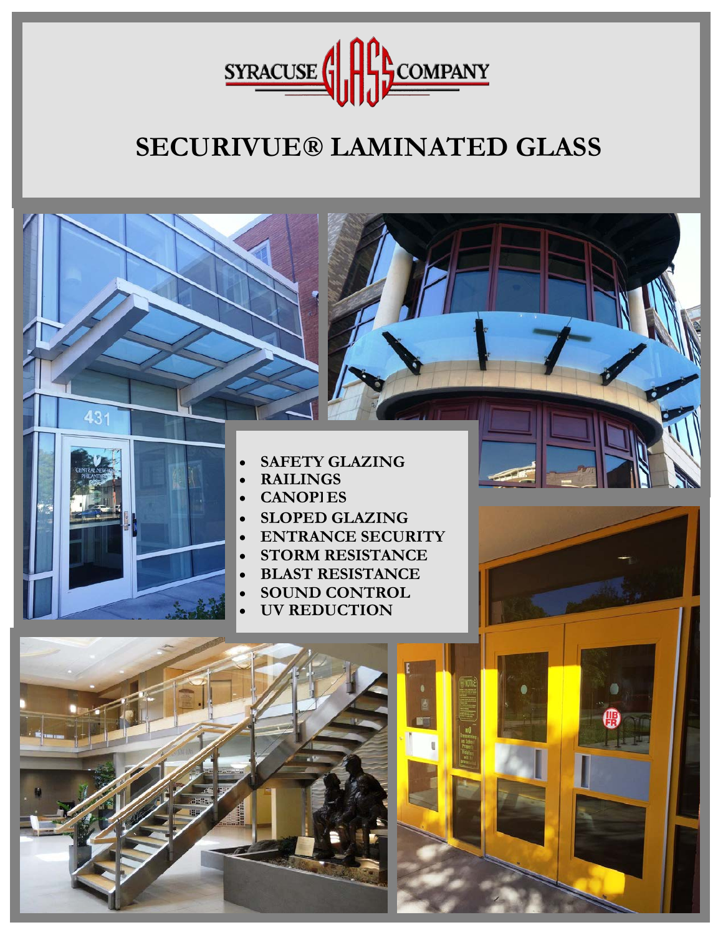

# **SECURIVUE® LAMINATED GLASS**

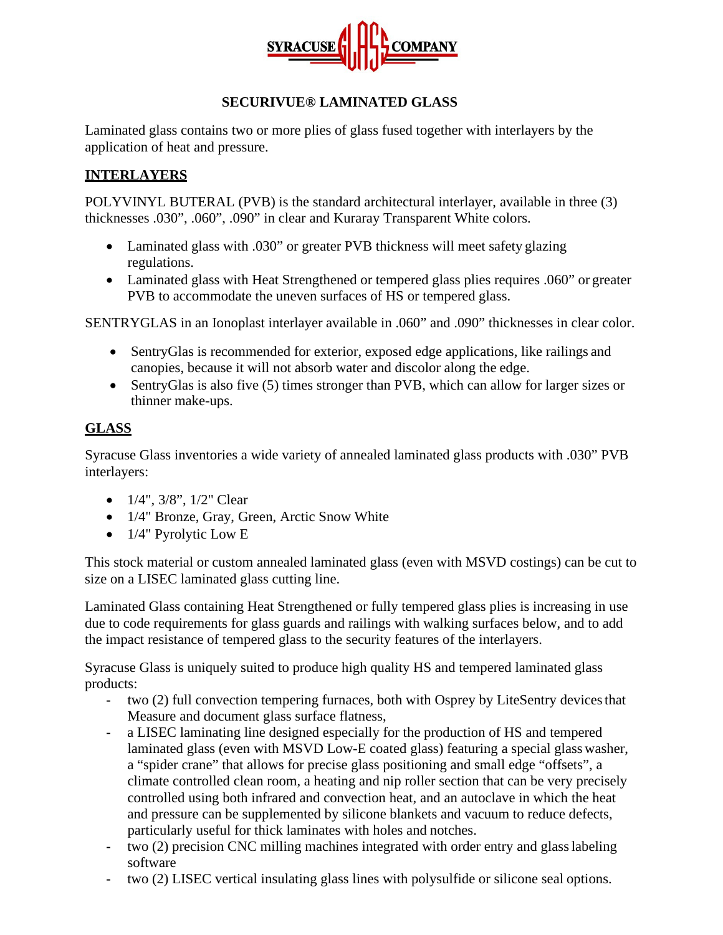

### **SECURIVUE® LAMINATED GLASS**

Laminated glass contains two or more plies of glass fused together with interlayers by the application of heat and pressure.

## **INTERLAYERS**

POLYVINYL BUTERAL (PVB) is the standard architectural interlayer, available in three (3) thicknesses .030", .060", .090" in clear and Kuraray Transparent White colors.

- Laminated glass with .030" or greater PVB thickness will meet safety glazing regulations.
- Laminated glass with Heat Strengthened or tempered glass plies requires .060" or greater PVB to accommodate the uneven surfaces of HS or tempered glass.

SENTRYGLAS in an Ionoplast interlayer available in .060" and .090" thicknesses in clear color.

- SentryGlas is recommended for exterior, exposed edge applications, like railings and canopies, because it will not absorb water and discolor along the edge.
- SentryGlas is also five (5) times stronger than PVB, which can allow for larger sizes or thinner make-ups.

#### **GLASS**

Syracuse Glass inventories a wide variety of annealed laminated glass products with .030" PVB interlayers:

- $1/4$ ",  $3/8$ ",  $1/2$ " Clear
- 1/4" Bronze, Gray, Green, Arctic Snow White
- 1/4" Pyrolytic Low E

This stock material or custom annealed laminated glass (even with MSVD costings) can be cut to size on a LISEC laminated glass cutting line.

Laminated Glass containing Heat Strengthened or fully tempered glass plies is increasing in use due to code requirements for glass guards and railings with walking surfaces below, and to add the impact resistance of tempered glass to the security features of the interlayers.

Syracuse Glass is uniquely suited to produce high quality HS and tempered laminated glass products:

- **-** two (2) full convection tempering furnaces, both with Osprey by LiteSentry devicesthat Measure and document glass surface flatness,
- **-** a LISEC laminating line designed especially for the production of HS and tempered laminated glass (even with MSVD Low-E coated glass) featuring a special glass washer, a "spider crane" that allows for precise glass positioning and small edge "offsets", a climate controlled clean room, a heating and nip roller section that can be very precisely controlled using both infrared and convection heat, and an autoclave in which the heat and pressure can be supplemented by silicone blankets and vacuum to reduce defects, particularly useful for thick laminates with holes and notches.
- **-** two (2) precision CNC milling machines integrated with order entry and glasslabeling software
- **-** two (2) LISEC vertical insulating glass lines with polysulfide or silicone seal options.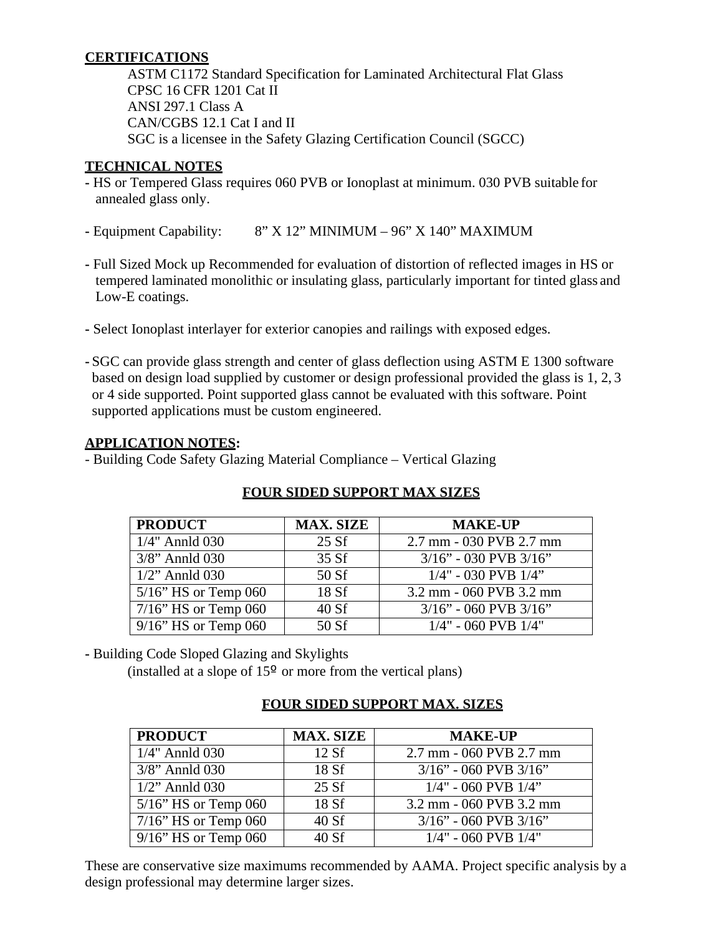## **CERTIFICATIONS**

ASTM C1172 Standard Specification for Laminated Architectural Flat Glass CPSC 16 CFR 1201 Cat II ANSI 297.1 Class A CAN/CGBS 12.1 Cat I and II SGC is a licensee in the Safety Glazing Certification Council (SGCC)

## **TECHNICAL NOTES**

- **-** HS or Tempered Glass requires 060 PVB or Ionoplast at minimum. 030 PVB suitable for annealed glass only.
- **-** Equipment Capability: 8" X 12" MINIMUM 96" X 140" MAXIMUM
- **-** Full Sized Mock up Recommended for evaluation of distortion of reflected images in HS or tempered laminated monolithic or insulating glass, particularly important for tinted glass and Low-E coatings.
- **-** Select Ionoplast interlayer for exterior canopies and railings with exposed edges.
- **-** SGC can provide glass strength and center of glass deflection using ASTM E 1300 software based on design load supplied by customer or design professional provided the glass is 1, 2, 3 or 4 side supported. Point supported glass cannot be evaluated with this software. Point supported applications must be custom engineered.

## **APPLICATION NOTES:**

- Building Code Safety Glazing Material Compliance – Vertical Glazing

| <b>PRODUCT</b>          | <b>MAX. SIZE</b> | <b>MAKE-UP</b>              |
|-------------------------|------------------|-----------------------------|
| $1/4$ " Annld 030       | 25 Sf            | 2.7 mm - 030 PVB 2.7 mm     |
| $3/8$ " Annld 030       | 35 Sf            | $3/16$ " - 030 PVB $3/16$ " |
| $1/2$ " Annld 030       | 50 Sf            | $1/4$ " - 030 PVB $1/4$ "   |
| $5/16$ " HS or Temp 060 | 18 Sf            | 3.2 mm - 060 PVB 3.2 mm     |
| $7/16$ " HS or Temp 060 | 40 Sf            | $3/16$ " - 060 PVB $3/16$ " |
| $9/16$ " HS or Temp 060 | 50 Sf            | $1/4$ " - 060 PVB $1/4$ "   |

# **FOUR SIDED SUPPORT MAX SIZES**

**-** Building Code Sloped Glazing and Skylights

(installed at a slope of  $15^{\circ}$  or more from the vertical plans)

## **FOUR SIDED SUPPORT MAX. SIZES**

| <b>PRODUCT</b>          | <b>MAX. SIZE</b> | <b>MAKE-UP</b>              |  |  |  |  |
|-------------------------|------------------|-----------------------------|--|--|--|--|
| $1/4$ " Annld 030       | 12Sf             | 2.7 mm - 060 PVB 2.7 mm     |  |  |  |  |
| $3/8$ " Annld 030       | 18 Sf            | $3/16$ " - 060 PVB $3/16$ " |  |  |  |  |
| $1/2$ " Annld 030       | 25 Sf            | $1/4$ " - 060 PVB $1/4$ "   |  |  |  |  |
| $5/16$ " HS or Temp 060 | 18 Sf            | 3.2 mm - 060 PVB 3.2 mm     |  |  |  |  |
| $7/16$ " HS or Temp 060 | 40 Sf            | $3/16$ " - 060 PVB $3/16$ " |  |  |  |  |
| $9/16$ " HS or Temp 060 | 40 Sf            | $1/4$ " - 060 PVB $1/4$ "   |  |  |  |  |

These are conservative size maximums recommended by AAMA. Project specific analysis by a design professional may determine larger sizes.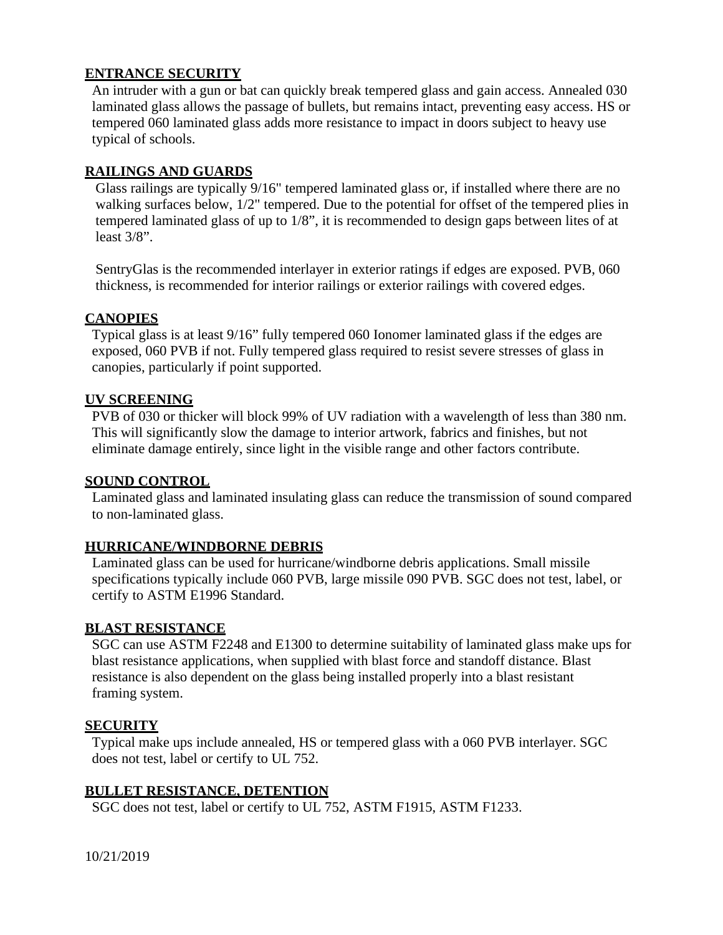#### **ENTRANCE SECURITY**

An intruder with a gun or bat can quickly break tempered glass and gain access. Annealed 030 laminated glass allows the passage of bullets, but remains intact, preventing easy access. HS or tempered 060 laminated glass adds more resistance to impact in doors subject to heavy use typical of schools.

### **RAILINGS AND GUARDS**

Glass railings are typically 9/16" tempered laminated glass or, if installed where there are no walking surfaces below,  $1/2$ " tempered. Due to the potential for offset of the tempered plies in tempered laminated glass of up to 1/8", it is recommended to design gaps between lites of at least 3/8".

SentryGlas is the recommended interlayer in exterior ratings if edges are exposed. PVB, 060 thickness, is recommended for interior railings or exterior railings with covered edges.

#### **CANOPIES**

Typical glass is at least 9/16" fully tempered 060 Ionomer laminated glass if the edges are exposed, 060 PVB if not. Fully tempered glass required to resist severe stresses of glass in canopies, particularly if point supported.

#### **UV SCREENING**

PVB of 030 or thicker will block 99% of UV radiation with a wavelength of less than 380 nm. This will significantly slow the damage to interior artwork, fabrics and finishes, but not eliminate damage entirely, since light in the visible range and other factors contribute.

#### **SOUND CONTROL**

Laminated glass and laminated insulating glass can reduce the transmission of sound compared to non-laminated glass.

#### **HURRICANE/WINDBORNE DEBRIS**

Laminated glass can be used for hurricane/windborne debris applications. Small missile specifications typically include 060 PVB, large missile 090 PVB. SGC does not test, label, or certify to ASTM E1996 Standard.

#### **BLAST RESISTANCE**

SGC can use ASTM F2248 and E1300 to determine suitability of laminated glass make ups for blast resistance applications, when supplied with blast force and standoff distance. Blast resistance is also dependent on the glass being installed properly into a blast resistant framing system.

#### **SECURITY**

Typical make ups include annealed, HS or tempered glass with a 060 PVB interlayer. SGC does not test, label or certify to UL 752.

#### **BULLET RESISTANCE, DETENTION**

SGC does not test, label or certify to UL 752, ASTM F1915, ASTM F1233.